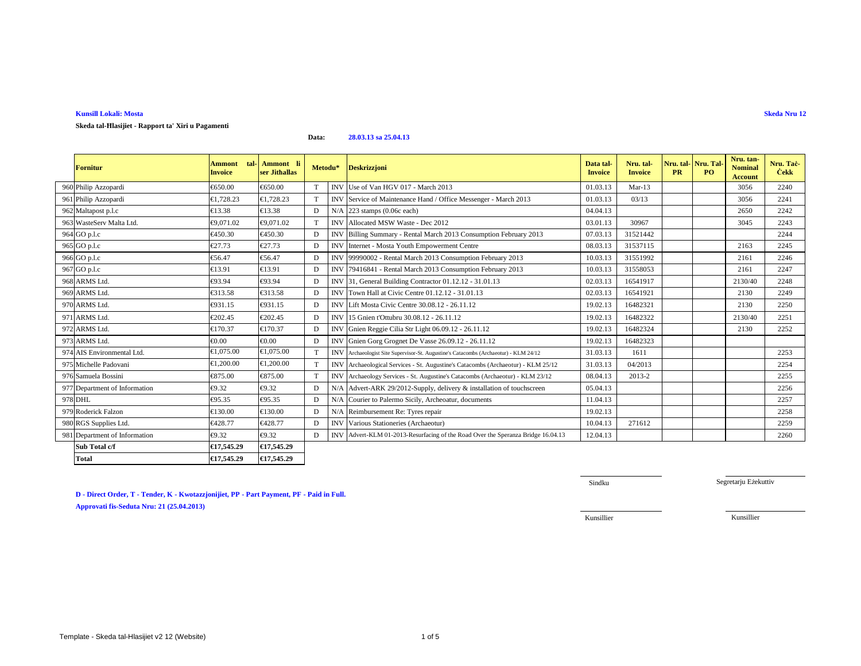## **Skeda tal-Ħlasijiet - Rapport ta' Xiri u Pagamenti**

**Data:28.03.13 sa 25.04.13**

| <b>Fornitur</b>               | tal-<br><b>Ammont</b><br><b>Invoice</b> | Ammont li<br>ser Jithallas | Metodu* |            | <b>Deskrizzjoni</b>                                                                  | Data tal-<br><b>Invoice</b> | Nru. tal-<br><b>Invoice</b> | Nru. tal-Nru. Tal<br><b>PR</b> | PQ | Nru. tan-<br><b>Nominal</b><br><b>Account</b> | Nru. Tač<br><b>Cekk</b> |
|-------------------------------|-----------------------------------------|----------------------------|---------|------------|--------------------------------------------------------------------------------------|-----------------------------|-----------------------------|--------------------------------|----|-----------------------------------------------|-------------------------|
| 960 Philip Azzopardi          | €650.00                                 | €650.00                    | T       | <b>INV</b> | Use of Van HGW17 - March 2013                                                        | 01.03.13                    | $Mar-13$                    |                                |    | 3056                                          | 2240                    |
| 961 Philip Azzopardi          | €1,728.23                               | €1,728.23                  |         |            | INV Service of Maintenance Hand / Office Messenger - March 2013                      | 01.03.13                    | 03/13                       |                                |    | 3056                                          | 2241                    |
| 962 Maltapost p.l.c           | €13.38                                  | €13.38                     | D       |            | $N/A$ 223 stamps (0.06 $\alpha$ each)                                                | 04.04.13                    |                             |                                |    | 2650                                          | 2242                    |
| 963 WasteServ Malta Ltd.      | €9.071.02                               | €9,071.02                  | T       | <b>INV</b> | Allocted MSW Waste - Dec 2012                                                        | 03.01.13                    | 30967                       |                                |    | 3045                                          | 2243                    |
| 964 GO p.l.c                  | €450.30                                 | €450.30                    | D       | <b>INV</b> | Billing Summary - Rendl March 2013 Consumption February 2013                         | 07.03.13                    | 31521442                    |                                |    |                                               | 2244                    |
| 965 GO p.l.c                  | €27.73                                  | €27.73                     | D       | <b>INV</b> | Internet - Mosta Youth Enpowerment Centre                                            | 08.03.13                    | 31537115                    |                                |    | 2163                                          | 2245                    |
| 966 GO p.l.c                  | €56.47                                  | €56.47                     | D       | <b>INV</b> | 99990002 - Rental March2013 Consumption February 2013                                | 10.03.13                    | 31551992                    |                                |    | 2161                                          | 2246                    |
| 967 GO p.l.c                  | €13.91                                  | €13.91                     | D       | <b>INV</b> | 79416841 - Rental March2013 Consumption February 2013                                | 10.03.13                    | 31558053                    |                                |    | 2161                                          | 2247                    |
| 968 ARMS Ltd.                 | €93.94                                  | €93.94                     | D       |            | INV 31, General Building Cotractor 01.12.12 - 31.01.13                               | 02.03.13                    | 16541917                    |                                |    | 2130/40                                       | 2248                    |
| 969 ARMS Ltd.                 | €313.58                                 | €313.58                    | D       |            | INV Town Hall at Civic Catre 01.12.12 - 31.01.13                                     | 02.03.13                    | 16541921                    |                                |    | 2130                                          | 2249                    |
| 970 ARMS Ltd.                 | €931.15                                 | €931.15                    | D       | <b>INV</b> | Lift Mosta Civic Cente 30.08.12 - 26.11.12                                           | 19.02.13                    | 16482321                    |                                |    | 2130                                          | 2250                    |
| 971 ARMS Ltd.                 | €202.45                                 | €202.45                    | D       | <b>INV</b> | 15 Gnien t'Ottubru 3008.12 - 26.11.12                                                | 19.02.13                    | 16482322                    |                                |    | 2130/40                                       | 2251                    |
| 972 ARMS Ltd.                 | €170.37                                 | €170.37                    | D       | <b>INV</b> | Gnien Reggie Cilia St Light 06.09.12 - 26.11.12                                      | 19.02.13                    | 16482324                    |                                |    | 2130                                          | 2252                    |
| 973 ARMS Ltd.                 | $\epsilon 0.00$                         | $\epsilon 0.00$            | D       | <b>INV</b> | Gnien Gorg Grognet De Vase 26.09.12 - 26.11.12                                       | 19.02.13                    | 16482323                    |                                |    |                                               |                         |
| 974 AIS Environmental Ltd.    | €1.075.00                               | €1,075.00                  | T       |            | INV Archaeologist Site Supervisor-St. Augustine's Catacombs (Archaeotur) - KLM 24/12 | 31.03.13                    | 1611                        |                                |    |                                               | 2253                    |
| 975 Michelle Padovani         | €1.200.00                               | €1.200.00                  | T       |            | INV Archaeological Services - St. Augustine's Catacombs (Archaeotur) - KLM 25/12     | 31.03.13                    | 04/2013                     |                                |    |                                               | 2254                    |
| 976 Samuela Bossini           | €875.00                                 | €875.00                    | T       |            | INV Archaeology Services - St. Augustine's Catacombs (Archaeotur) - KLM 23/12        | 08.04.13                    | 2013-2                      |                                |    |                                               | 2255                    |
| 977 Department of Information | €9.32                                   | €9.32                      | D       |            | N/A Advert-AK 29/2012-Supply, delivery & installation of touchscreen                 | 05.04.13                    |                             |                                |    |                                               | 2256                    |
| 978 DHL                       | €95.35                                  | €95.35                     | D       | N/A        | Courier to Palermo Sicily, Archeoatr, documents                                      | 11.04.13                    |                             |                                |    |                                               | 2257                    |
| 979 Roderick Falzon           | €130.00                                 | €130.00                    | D       |            | N/A Reimbursement R: Tyres repair                                                    | 19.02.13                    |                             |                                |    |                                               | 2258                    |
| 980 RGS Supplies Ltd.         | €428.77                                 | €428.77                    | D       |            | INV Various Statineries (Archaeotur)                                                 | 10.04.13                    | 271612                      |                                |    |                                               | 2259                    |
| 981 Department of Information | €9.32                                   | €9.32                      | D       |            | INV Advert-KLM 01-2013-Resurfacing of the Road Over the Speranza Bridge 16.04.13     | 12.04.13                    |                             |                                |    |                                               | 2260                    |
| Sub Total c/f                 | €17,545.29                              | €17,545.29                 |         |            |                                                                                      |                             |                             |                                |    |                                               |                         |
| <b>Total</b>                  | €17,545.29                              | €17,545.29                 |         |            |                                                                                      |                             |                             |                                |    |                                               |                         |

**D - Direct Order, T - Tender, K - Kwotazzjonijiet, PP - Part Payment, PF - Paid in Full. Approvati fis-Seduta Nru: 21 (25.04.2013)**

Sindku

Segretarju Eżekuttiv

Kunsillier

Kunsillier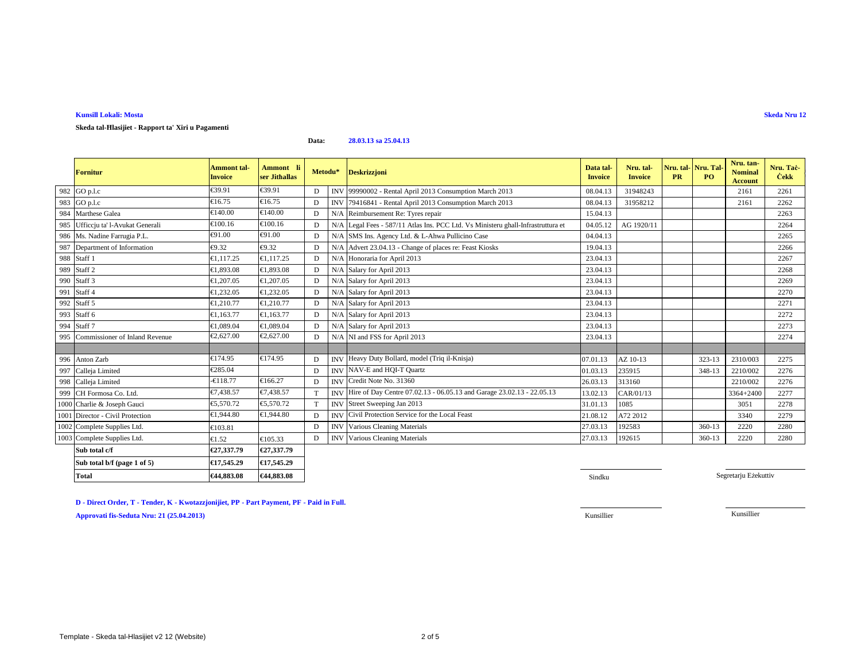**Skeda tal-Ħlasijiet - Rapport ta' Xiri u Pagamenti**

**Data:28.03.13 sa 25.04.13**

|     | <b>Fornitur</b>                  | <b>Ammont</b> tal-<br><b>Invoice</b> | Ammont li<br>ser Jithallas | Metodu* |     | <b>Deskrizzjoni</b>                                                              | Data tal-<br><b>Invoice</b> | Nru. tal-<br><b>Invoice</b> | Nru. tal-<br><b>PR</b> | Nru. Tal<br>P <sub>O</sub> | Nru. tan-<br><b>Nominal</b><br><b>Account</b> | Nru. Taċ-<br><b>Cekk</b> |
|-----|----------------------------------|--------------------------------------|----------------------------|---------|-----|----------------------------------------------------------------------------------|-----------------------------|-----------------------------|------------------------|----------------------------|-----------------------------------------------|--------------------------|
|     | 982 GO p.l.c                     | €39.91                               | €39.91                     | D       |     | INV 99990002 - Rental April 2013 Consumption March 2013                          | 08.04.13                    | 31948243                    |                        |                            | 2161                                          | 2261                     |
| 983 | GO p.l.c                         | €16.75                               | €16.75                     | D       |     | INV 79416841 - Rental April 2013 Consumption March 2013                          | 08.04.13                    | 31958212                    |                        |                            | 2161                                          | 2262                     |
| 984 | Marthese Galea                   | €140.00                              | €140.00                    | D       |     | N/A Reimbursement Re: Tyres repair                                               | 15.04.13                    |                             |                        |                            |                                               | 2263                     |
| 985 | Ufficcju ta' l-Avukat Generali   | €100.16                              | €100.16                    | D       |     | N/A Legal Fees - 587/11 Atlas Ins. PCC Ltd. Vs Ministeru ghall-Infrastruttura et | 04.05.12                    | AG 1920/11                  |                        |                            |                                               | 2264                     |
|     | 986 Ms. Nadine Farrugia P.L.     | €91.00                               | €91.00                     | D       |     | N/A SMS Ins. Agency Ltd. & L-Ahwa Pullicino Case                                 | 04.04.13                    |                             |                        |                            |                                               | 2265                     |
|     | 987 Department of Information    | €9.32                                | €9.32                      | D       | N/A | Advert 2304.13 - Change of places re: Feast Kiosks                               | 19.04.13                    |                             |                        |                            |                                               | 2266                     |
|     | 988 Staff 1                      | €1,117.25                            | €1,117.25                  | D       | N/A | Honoraria for April 2013                                                         | 23.04.13                    |                             |                        |                            |                                               | 2267                     |
|     | 989 Staff 2                      | €1,893.08                            | €1.893.08                  | D       | N/A | Salary for April 2013                                                            | 23.04.13                    |                             |                        |                            |                                               | 2268                     |
|     | 990 Staff 3                      | €1,207.05                            | €1,207.05                  | D       | N/A | Salary for April 2013                                                            | 23.04.13                    |                             |                        |                            |                                               | 2269                     |
| 991 | Staff 4                          | €1,232.05                            | €1,232.05                  | D       | N/A | Salary for April 2013                                                            | 23.04.13                    |                             |                        |                            |                                               | 2270                     |
| 992 | Staff 5                          | €1,210.77                            | €1.210.77                  | D       | N/A | Salary for April 2013                                                            | 23.04.13                    |                             |                        |                            |                                               | 2271                     |
| 993 | Staff 6                          | €1,163.77                            | €1,163.77                  | D       | N/A | Salary for April 2013                                                            | 23.04.13                    |                             |                        |                            |                                               | 2272                     |
| 994 | Staff <sub>7</sub>               | €1,089.04                            | €1,089.04                  | D       | N/A | Salary for April 2013                                                            | 23.04.13                    |                             |                        |                            |                                               | 2273                     |
| 995 | Commissioner of Inland Revenue   | €2,627.00                            | €2,627.00                  | D       |     | N/A NI and FSS for April 2013                                                    | 23.04.13                    |                             |                        |                            |                                               | 2274                     |
|     |                                  |                                      |                            |         |     |                                                                                  |                             |                             |                        |                            |                                               |                          |
|     | 996 Anton Zarb                   | €174.95                              | €174.95                    | D       |     | INV Heavy Duty Bollard, model (Triq il-Knisja)                                   | 07.01.13                    | AZ 10-13                    |                        | 323-13                     | 2310/003                                      | 2275                     |
|     | 997 Calleja Limited              | €285.04                              |                            | D       |     | INV NAV-E and HQI-T Quartz                                                       | 01.03.13                    | 235915                      |                        | 348-13                     | 2210/002                                      | 2276                     |
|     | 998 Calleja Limited              | $-6118.77$                           | €166.27                    | D       |     | INV Credit Note No. 31360                                                        | 26.03.13                    | 313160                      |                        |                            | 2210/002                                      | 2276                     |
|     | 999 CH Formosa Co. Ltd.          | €7,438.57                            | €7.438.57                  | T       |     | INV Hire of Day Centre 07.02.13 - 06.05.13 and Garage 23.02.13 - 22.05.13        | 13.02.13                    | CAR/01/13                   |                        |                            | 3364+2400                                     | 2277                     |
|     | 1000 Charlie & Joseph Gauci      | €5,570.72                            | €5,570.72                  |         |     | INV Street Sweeping Jan 2013                                                     | 31.01.13                    | 1085                        |                        |                            | 3051                                          | 2278                     |
|     | 1001 Director - Civil Protection | €1,944.80                            | €1,944.80                  | D       |     | <b>INV</b> Civil Protection Service for the Local Feast                          | 21.08.12                    | A72 2012                    |                        |                            | 3340                                          | 2279                     |
|     | 1002 Complete Supplies Ltd.      | €103.81                              |                            | D       |     | <b>INV</b> Various Cleaning Materials                                            | 27.03.13                    | 192583                      |                        | 360-13                     | 2220                                          | 2280                     |
|     | 1003 Complete Supplies Ltd.      | €1.52                                | €105.33                    | D       |     | <b>INV</b> Various Cleaning Materials                                            | 27.03.13                    | 192615                      |                        | 360-13                     | 2220                                          | 2280                     |
|     | Sub total c/f                    | €27,337.79                           | €27,337.79                 |         |     |                                                                                  |                             |                             |                        |                            |                                               |                          |
|     | Sub total b/f (page 1 of 5)      | €17,545.29                           | €17,545.29                 |         |     |                                                                                  |                             |                             |                        |                            |                                               |                          |
|     | <b>Total</b>                     | €44,883.08                           | €44,883.08                 |         |     |                                                                                  | Sindku                      |                             |                        |                            | Segretariu Eżekuttiv                          |                          |

**D - Direct Order, T - Tender, K - Kwotazzjonijiet, PP - Part Payment, PF - Paid in Full.**

**Approvati fis-Seduta Nru: 21 (25.04.2013)**

Kunsillier Kunsillier

**Skeda Nru 12**

**S** Sindku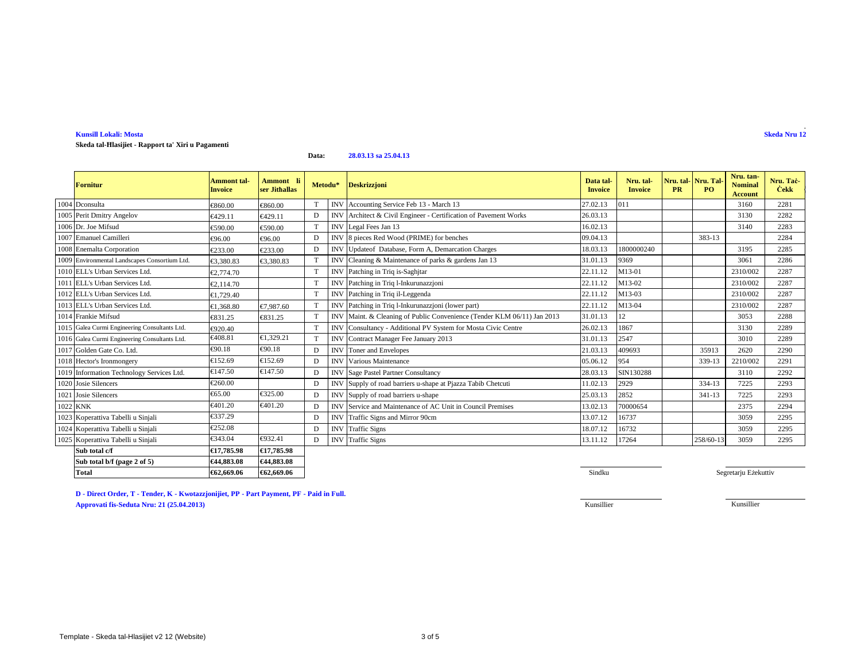### **Kunsill Lokali: MostaSkeda Nru 12**

**Skeda tal-Ħlasijiet - Rapport ta' Xiri u Pagamenti**

#### **Data:28.03.13 sa 25.04.13**

| <b>Fornitur</b>                               | <b>Ammont</b> tal-<br><b>Invoice</b> | Ammont li<br>ser Jithallas | Metodu*         | <b>Deskrizzjoni</b>                                                     | Data tal-<br><b>Invoice</b> | Nru. tal-<br><b>Invoice</b> | <b>PR</b> | Nru. tal-Nru. Tal-<br><b>PO</b> | Nru. tan-<br><b>Nominal</b><br><b>Account</b> | Nru. Taċ<br><b>Cekk</b> |
|-----------------------------------------------|--------------------------------------|----------------------------|-----------------|-------------------------------------------------------------------------|-----------------------------|-----------------------------|-----------|---------------------------------|-----------------------------------------------|-------------------------|
| 1004 Dconsulta                                | €860.00                              | €860.00                    |                 | INV Accounting Service Feb 13 - March 13                                | 27.02.13                    | 011                         |           |                                 | 3160                                          | 2281                    |
| 1005 Perit Dmitry Angelov                     | €429.11                              | €429.11                    | D               | INV Architect & Civil Engineer - Certification of Pavement Works        | 26.03.13                    |                             |           |                                 | 3130                                          | 2282                    |
| 1006 Dr. Joe Mifsud                           | €590.00                              | €590.00                    | $^{\mathrm{T}}$ | INV Legal Fees Jan 13                                                   | 16.02.13                    |                             |           |                                 | 3140                                          | 2283                    |
| 1007 Emanuel Camilleri                        | €96.00                               | €96.00                     | D               | INV 8 pieces Red Wood (PRIME) for benches                               | 09.04.13                    |                             |           | 383-13                          |                                               | 2284                    |
| 1008 Enemalta Corporation                     | €233.00                              | €233.00                    | D               | INV Update of Database, Form A, Demarcation Charges                     | 18.03.13                    | 1800000240                  |           |                                 | 3195                                          | 2285                    |
| 1009 Environmental Landscapes Consortium Ltd. | €3,380.83                            | €3,380.83                  |                 | INV Cleaning & Maintenance of parks & gardens Jan 13                    | 31.01.13                    | 9369                        |           |                                 | 3061                                          | 2286                    |
| 1010 ELL's Urban Services Ltd.                | €2,774.70                            |                            | T               | INV Patching in Triq is-Saghjtar                                        | 22.11.12                    | M13-01                      |           |                                 | 2310/002                                      | 2287                    |
| 1011 ELL's Urban Services Ltd.                | €2.114.70                            |                            |                 | INV Patching in Triq l-Inkurunazzjoni                                   | 22.11.12                    | M13-02                      |           |                                 | 2310/002                                      | 2287                    |
| 1012 ELL's Urban Services Ltd.                | €1,729.40                            |                            | T               | INV Patching in Triq il-Leggenda                                        | 22.11.12                    | M13-03                      |           |                                 | 2310/002                                      | 2287                    |
| 1013 ELL's Urban Services Ltd.                | €1,368.80                            | €7,987.60                  | T               | INV Patching in Triq l-Inkurunazzjoni (lower part)                      | 22.11.12                    | M13-04                      |           |                                 | 2310/002                                      | 2287                    |
| 1014 Frankie Mifsud                           | €831.25                              | €831.25                    |                 | INV Maint. & Cleaning of Public Convenience (Tender KLM 06/11) Jan 2013 | 31.01.13                    | 12                          |           |                                 | 3053                                          | 2288                    |
| 1015 Galea Curmi Engineering Consultants Ltd. | €920.40                              |                            | T               | INV Consultancy - Additional PV System for Mosta Civic Centre           | 26.02.13                    | 1867                        |           |                                 | 3130                                          | 2289                    |
| 1016 Galea Curmi Engineering Consultants Ltd. | €408.81                              | €1,329.21                  | T               | INV Contract Manager Fee January 2013                                   | 31.01.13                    | 2547                        |           |                                 | 3010                                          | 2289                    |
| 1017 Golden Gate Co. Ltd.                     | €90.18                               | €90.18                     | D               | <b>INV</b> Toner and Envelopes                                          | 21.03.13                    | 409693                      |           | 35913                           | 2620                                          | 2290                    |
| 1018 Hector's Ironmongery                     | €152.69                              | €152.69                    | D               | <b>INV</b> Various Maintenance                                          | 05.06.12                    | 954                         |           | 339-13                          | 2210/002                                      | 2291                    |
| 1019 Information Technology Services Ltd.     | €147.50                              | €147.50                    | D               | <b>INV</b> Sage Pastel Partner Consultancy                              | 28.03.13                    | SIN130288                   |           |                                 | 3110                                          | 2292                    |
| 1020 Josie Silencers                          | €260.00                              |                            | D               | INV Supply of road barriers u-shape at Pjazza Tabib Chetcuti            | 11.02.13                    | 2929                        |           | 334-13                          | 7225                                          | 2293                    |
| 1021 Josie Silencers                          | €65.00                               | €325.00                    | D               | INV Supply of road barriers u-shape                                     | 25.03.13                    | 2852                        |           | $341 - 13$                      | 7225                                          | 2293                    |
| 1022 KNK                                      | €401.20                              | €401.20                    | D               | INV Service and Maintenance of AC Unit in Council Premises              | 13.02.13                    | 70000654                    |           |                                 | 2375                                          | 2294                    |
| 1023 Koperattiva Tabelli u Sinjali            | €337.29                              |                            | D               | INV Traffic Signs and Mirror 90cm                                       | 13.07.12                    | 16737                       |           |                                 | 3059                                          | 2295                    |
| 1024 Koperattiva Tabelli u Sinjali            | €252.08                              |                            | D               | <b>INV</b> Traffic Signs                                                | 18.07.12                    | 16732                       |           |                                 | 3059                                          | 2295                    |
| 1025 Koperattiva Tabelli u Sinjali            | €343.04                              | €932.41                    | D               | <b>INV</b> Traffic Signs                                                | 13.11.12                    | 17264                       |           | 258/60-13                       | 3059                                          | 2295                    |
| Sub total c/f                                 | €17,785.98                           | €17,785.98                 |                 |                                                                         |                             |                             |           |                                 |                                               |                         |
| Sub total b/f (page 2 of 5)                   | €44,883.08                           | €44,883.08                 |                 |                                                                         |                             |                             |           |                                 |                                               |                         |
| Total                                         | €62,669.06                           | €62,669.06                 |                 |                                                                         | Sindku                      |                             |           |                                 | Segretarju Eżekuttiv                          |                         |

**6** Sindku

**D - Direct Order, T - Tender, K - Kwotazzjonijiet, PP - Part Payment, PF - Paid in Full.Approvati fis-Seduta Nru: 21 (25.04.2013)**Kunsillier Kunsillier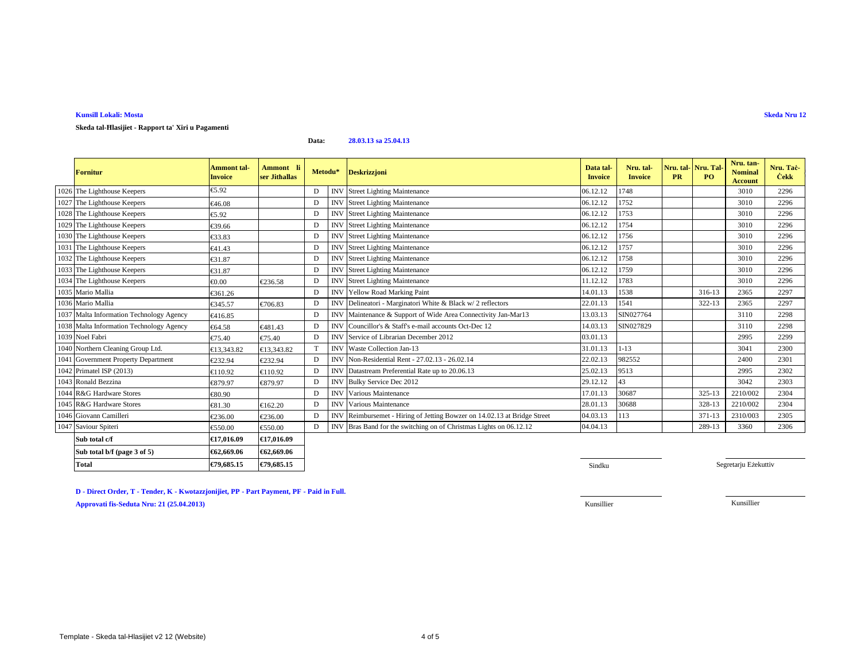## **Skeda tal-Ħlasijiet - Rapport ta' Xiri u Pagamenti**

**Data:28.03.13 sa 25.04.13**

| <b>Fornitur</b>                          | <b>Ammont</b> tal-<br><b>Invoice</b> | Ammont li<br>ser Jithallas | Metodu* | <b>Deskrizzioni</b>                                                      | Data tal-<br><b>Invoice</b> | Nru. tal-<br><b>Invoice</b> | Nru. tal-Nru. Tal<br><b>PR</b> | PO         | Nru. tan-<br><b>Nominal</b><br><b>Account</b> | Nru. Tač<br><b>Cekk</b> |
|------------------------------------------|--------------------------------------|----------------------------|---------|--------------------------------------------------------------------------|-----------------------------|-----------------------------|--------------------------------|------------|-----------------------------------------------|-------------------------|
| 1026 The Lighthouse Keepers              | €5.92                                |                            | D       | <b>INV</b> Street Lighting Maintenance                                   | 06.12.12                    | 1748                        |                                |            | 3010                                          | 2296                    |
| 1027 The Lighthouse Keepers              | €46.08                               |                            | D       | <b>INV</b> Street Lighting Maintenance                                   | 06.12.12                    | 1752                        |                                |            | 3010                                          | 2296                    |
| 1028 The Lighthouse Keepers              | €5.92                                |                            | D       | <b>INV</b> Street Lighting Maintenance                                   | 06.12.12                    | 1753                        |                                |            | 3010                                          | 2296                    |
| 1029 The Lighthouse Keepers              | €39.66                               |                            | D       | <b>INV</b> Street Lighting Maintenance                                   | 06.12.12                    | 1754                        |                                |            | 3010                                          | 2296                    |
| 1030 The Lighthouse Keepers              | €33.83                               |                            | D       | <b>INV</b> Street Lighting Maintenance                                   | 06.12.12                    | 1756                        |                                |            | 3010                                          | 2296                    |
| 1031 The Lighthouse Keepers              | €41.43                               |                            | D       | <b>INV</b> Street Lighting Maintenance                                   | 06.12.12                    | 1757                        |                                |            | 3010                                          | 2296                    |
| 1032 The Lighthouse Keepers              | €31.87                               |                            | D       | <b>INV</b> Street Lighting Maintenance                                   | 06.12.12                    | 1758                        |                                |            | 3010                                          | 2296                    |
| 1033 The Lighthouse Keepers              | €31.87                               |                            | D       | <b>INV</b> Street Lighting Maintenance                                   | 06.12.12                    | 1759                        |                                |            | 3010                                          | 2296                    |
| 1034 The Lighthouse Keepers              | €0.00                                | €236.58                    | D       | <b>INV</b> Street Lighting Maintenance                                   | 11.12.12                    | 1783                        |                                |            | 3010                                          | 2296                    |
| 1035 Mario Mallia                        | €361.26                              |                            | D       | <b>INV</b> Yellow Road Marking Paint                                     | 14.01.13                    | 1538                        |                                | 316-13     | 2365                                          | 2297                    |
| 1036 Mario Mallia                        | €345.57                              | €706.83                    | D       | INV Delineatori - Marginatori White & Black w/2 reflectors               | 22.01.13                    | 1541                        |                                | 322-13     | 2365                                          | 2297                    |
| 1037 Malta Information Technology Agency | €416.85                              |                            | D       | INV Maintenance & Support of Wide Area Connectivity Jan-Mar13            | 13.03.13                    | SIN027764                   |                                |            | 3110                                          | 2298                    |
| 1038 Malta Information Technology Agency | €64.58                               | €481.43                    | D       | INV Councillor's & Staff's e-mail accounts Oct-Dec 12                    | 14.03.13                    | SIN027829                   |                                |            | 3110                                          | 2298                    |
| 1039 Noel Fabri                          | €75.40                               | €75.40                     | D       | <b>INV</b> Service of Librarian December 2012                            | 03.01.13                    |                             |                                |            | 2995                                          | 2299                    |
| 1040 Northern Cleaning Group Ltd.        | €13.343.82                           | €13.343.82                 |         | <b>INV</b> Waste Collection Jan-13                                       | 31.01.13                    | $1 - 13$                    |                                |            | 3041                                          | 2300                    |
| 1041 Government Property Department      | €232.94                              | €232.94                    | D       | INV Non-Residential Rent - 27.02.13 - 26.02.14                           | 22.02.13                    | 982552                      |                                |            | 2400                                          | 2301                    |
| 1042 Primatel ISP (2013)                 | €110.92                              | €110.92                    | D       | INV Datastream Preferential Rate up to 20.06.13                          | 25.02.13                    | 9513                        |                                |            | 2995                                          | 2302                    |
| 1043 Ronald Bezzina                      | €879.97                              | €879.97                    | D       | INV Bulky Service Dec 2012                                               | 29.12.12                    | 43                          |                                |            | 3042                                          | 2303                    |
| 1044 R&G Hardware Stores                 | €80.90                               |                            | D       | <b>INV</b> Various Maintenance                                           | 17.01.13                    | 30687                       |                                | $325 - 13$ | 2210/002                                      | 2304                    |
| 1045 R&G Hardware Stores                 | €81.30                               | €162.20                    | D       | <b>INV</b> Various Maintenance                                           | 28.01.13                    | 30688                       |                                | 328-13     | 2210/002                                      | 2304                    |
| 1046 Giovann Camilleri                   | €236.00                              | €236.00                    | D       | INV Reimbursemet - Hiring of Jetting Bowzer on 14.02.13 at Bridge Street | 04.03.13                    | 113                         |                                | $371 - 13$ | 2310/003                                      | 2305                    |
| 1047 Saviour Spiteri                     | €550.00                              | €550.00                    | D       | INV Bras Band for the switching on of Christmas Lights on 06.12.12       | 04.04.13                    |                             |                                | 289-13     | 3360                                          | 2306                    |
| Sub total c/f                            | €17.016.09                           | €17,016.09                 |         |                                                                          |                             |                             |                                |            |                                               |                         |
| Sub total b/f (page 3 of 5)              | €62,669.06                           | €62,669.06                 |         |                                                                          |                             |                             |                                |            |                                               |                         |
| <b>Total</b>                             | €79,685.15                           | €79,685.15                 |         |                                                                          | Sindku                      |                             |                                |            | Segretarju Eżekuttiv                          |                         |

**D - Direct Order, T - Tender, K - Kwotazzjonijiet, PP - Part Payment, PF - Paid in Full.Approvati fis-Seduta Nru: 21 (25.04.2013)**Kunsillier Kunsillier